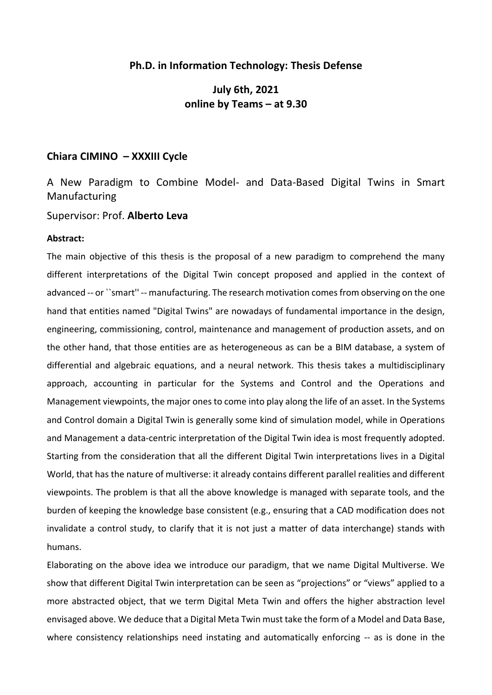## **Ph.D. in Information Technology: Thesis Defense**

## **July 6th, 2021 online by Teams – at 9.30**

## **Chiara CIMINO – XXXIII Cycle**

A New Paradigm to Combine Model- and Data-Based Digital Twins in Smart Manufacturing

Supervisor: Prof. **Alberto Leva**

## **Abstract:**

The main objective of this thesis is the proposal of a new paradigm to comprehend the many different interpretations of the Digital Twin concept proposed and applied in the context of advanced -- or ``smart'' -- manufacturing. The research motivation comes from observing on the one hand that entities named "Digital Twins" are nowadays of fundamental importance in the design, engineering, commissioning, control, maintenance and management of production assets, and on the other hand, that those entities are as heterogeneous as can be a BIM database, a system of differential and algebraic equations, and a neural network. This thesis takes a multidisciplinary approach, accounting in particular for the Systems and Control and the Operations and Management viewpoints, the major ones to come into play along the life of an asset. In the Systems and Control domain a Digital Twin is generally some kind of simulation model, while in Operations and Management a data-centric interpretation of the Digital Twin idea is most frequently adopted. Starting from the consideration that all the different Digital Twin interpretations lives in a Digital World, that has the nature of multiverse: it already contains different parallel realities and different viewpoints. The problem is that all the above knowledge is managed with separate tools, and the burden of keeping the knowledge base consistent (e.g., ensuring that a CAD modification does not invalidate a control study, to clarify that it is not just a matter of data interchange) stands with humans.

Elaborating on the above idea we introduce our paradigm, that we name Digital Multiverse. We show that different Digital Twin interpretation can be seen as "projections" or "views" applied to a more abstracted object, that we term Digital Meta Twin and offers the higher abstraction level envisaged above. We deduce that a Digital Meta Twin must take the form of a Model and Data Base, where consistency relationships need instating and automatically enforcing -- as is done in the